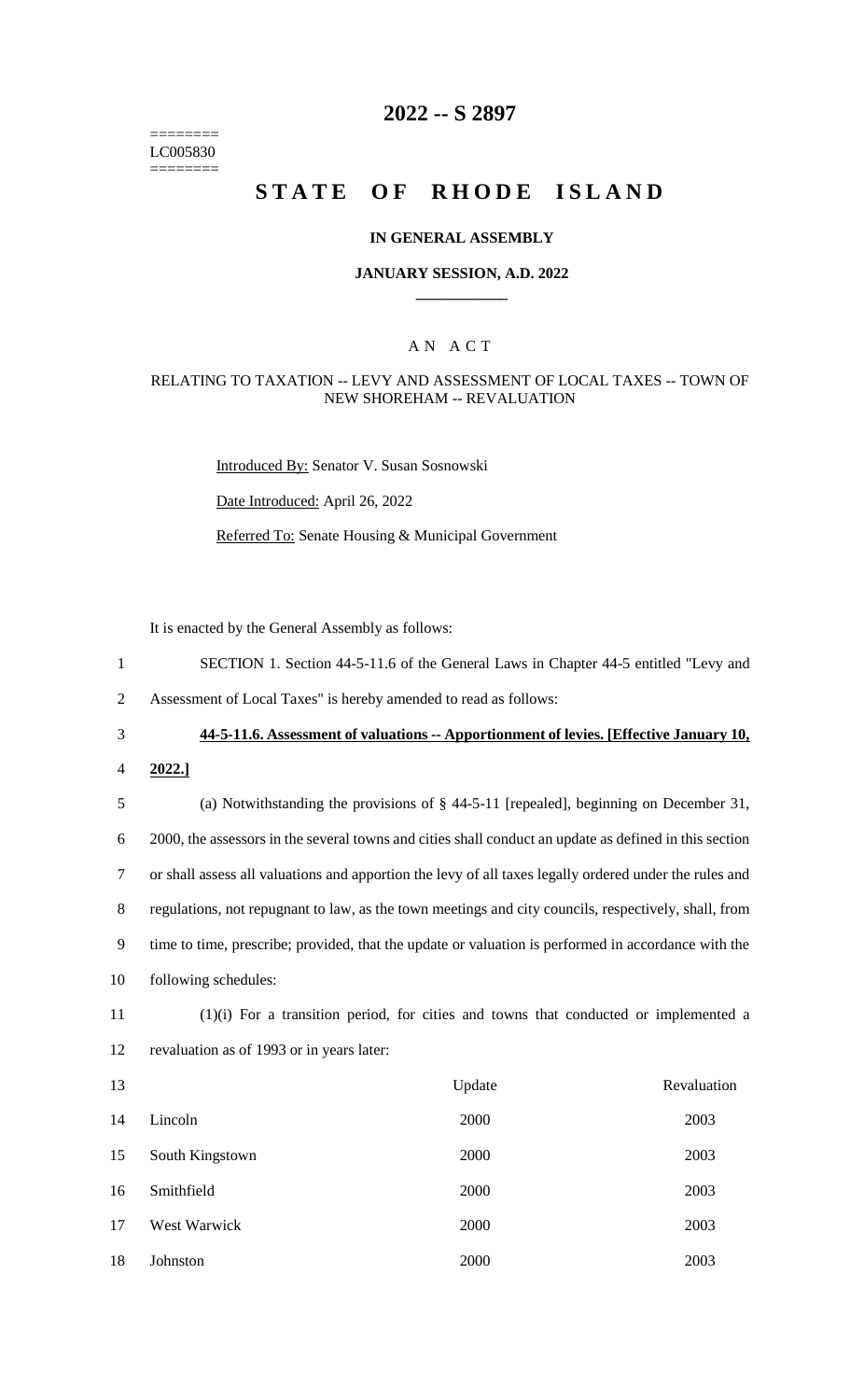======== LC005830 ========

# **2022 -- S 2897**

# **STATE OF RHODE ISLAND**

### **IN GENERAL ASSEMBLY**

### **JANUARY SESSION, A.D. 2022 \_\_\_\_\_\_\_\_\_\_\_\_**

### A N A C T

### RELATING TO TAXATION -- LEVY AND ASSESSMENT OF LOCAL TAXES -- TOWN OF NEW SHOREHAM -- REVALUATION

Introduced By: Senator V. Susan Sosnowski

Date Introduced: April 26, 2022

Referred To: Senate Housing & Municipal Government

It is enacted by the General Assembly as follows:

1 SECTION 1. Section 44-5-11.6 of the General Laws in Chapter 44-5 entitled "Levy and

2 Assessment of Local Taxes" is hereby amended to read as follows:

3 **44-5-11.6. Assessment of valuations -- Apportionment of levies. [Effective January 10,** 

4 **2022.]**

 (a) Notwithstanding the provisions of § 44-5-11 [repealed], beginning on December 31, 2000, the assessors in the several towns and cities shall conduct an update as defined in this section or shall assess all valuations and apportion the levy of all taxes legally ordered under the rules and regulations, not repugnant to law, as the town meetings and city councils, respectively, shall, from time to time, prescribe; provided, that the update or valuation is performed in accordance with the following schedules:

11 (1)(i) For a transition period, for cities and towns that conducted or implemented a 12 revaluation as of 1993 or in years later:

| 13 |                 | Update | Revaluation |
|----|-----------------|--------|-------------|
| 14 | Lincoln         | 2000   | 2003        |
| 15 | South Kingstown | 2000   | 2003        |
| 16 | Smithfield      | 2000   | 2003        |
| 17 | West Warwick    | 2000   | 2003        |
| 18 | Johnston        | 2000   | 2003        |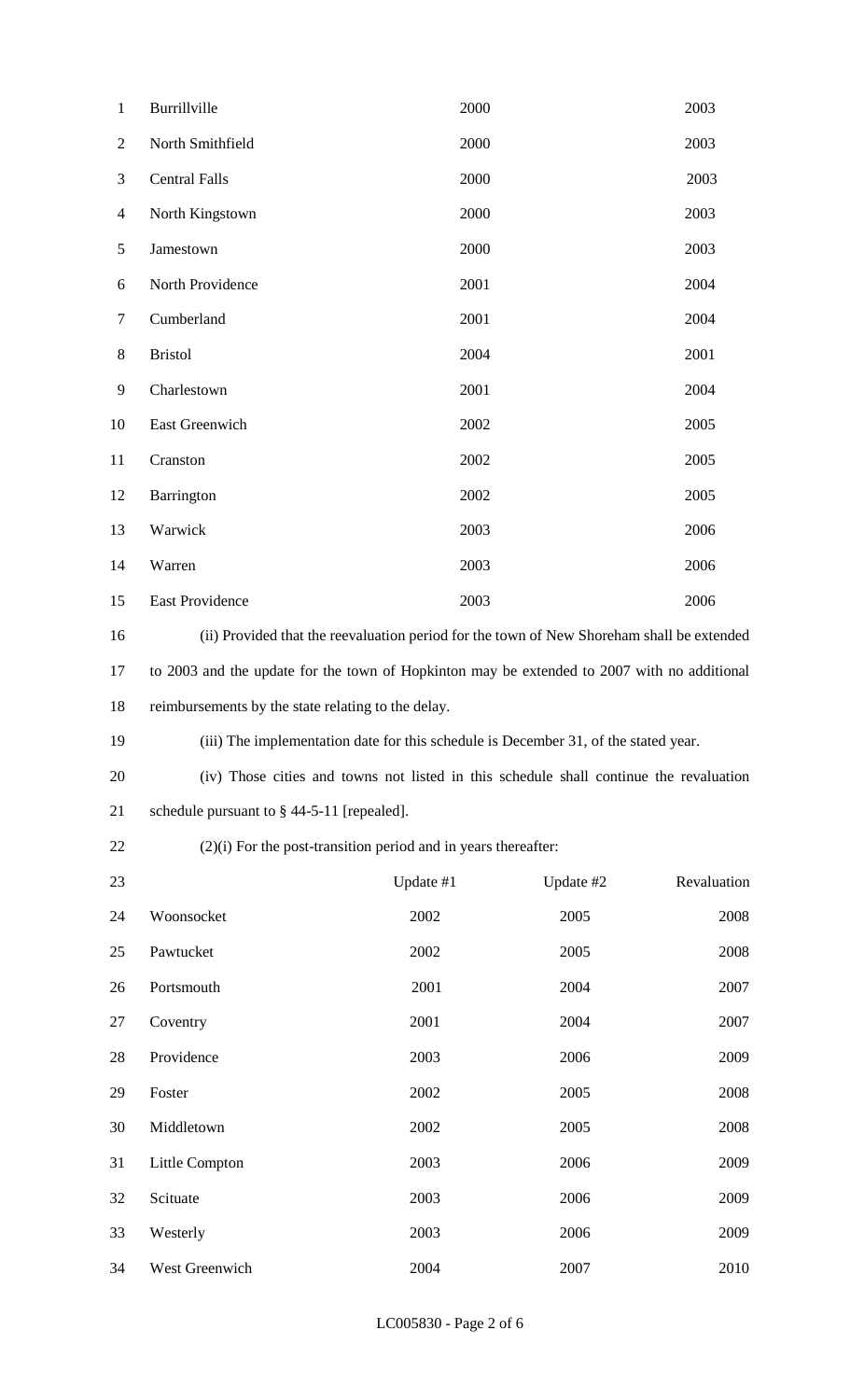| $\mathbf{1}$   | Burrillville                                                                                | 2000      |           | 2003        |  |
|----------------|---------------------------------------------------------------------------------------------|-----------|-----------|-------------|--|
| $\overline{2}$ | North Smithfield                                                                            | 2000      |           | 2003        |  |
| 3              | <b>Central Falls</b>                                                                        | 2000      |           | 2003        |  |
| $\overline{4}$ | North Kingstown                                                                             | 2000      |           | 2003        |  |
| $\mathfrak{S}$ | Jamestown                                                                                   | 2000      |           | 2003        |  |
| 6              | North Providence                                                                            | 2001      |           | 2004        |  |
| $\overline{7}$ | Cumberland                                                                                  | 2001      |           | 2004        |  |
| $8\,$          | <b>Bristol</b>                                                                              | 2004      |           | 2001        |  |
| 9              | Charlestown                                                                                 | 2001      |           | 2004        |  |
| 10             | East Greenwich                                                                              | 2002      |           | 2005        |  |
| 11             | Cranston                                                                                    | 2002      |           | 2005        |  |
| 12             | Barrington                                                                                  | 2002      |           | 2005        |  |
| 13             | Warwick                                                                                     | 2003      |           | 2006        |  |
| 14             | Warren                                                                                      | 2003      |           | 2006        |  |
| 15             | East Providence                                                                             | 2003      |           | 2006        |  |
| 16             | (ii) Provided that the reevaluation period for the town of New Shoreham shall be extended   |           |           |             |  |
| 17             | to 2003 and the update for the town of Hopkinton may be extended to 2007 with no additional |           |           |             |  |
| 18             | reimbursements by the state relating to the delay.                                          |           |           |             |  |
| 19             | (iii) The implementation date for this schedule is December 31, of the stated year.         |           |           |             |  |
| 20             | (iv) Those cities and towns not listed in this schedule shall continue the revaluation      |           |           |             |  |
| 21             | schedule pursuant to $\S$ 44-5-11 [repealed].                                               |           |           |             |  |
| 22             | $(2)(i)$ For the post-transition period and in years thereafter:                            |           |           |             |  |
| 23             |                                                                                             | Update #1 | Update #2 | Revaluation |  |
| 24             | Woonsocket                                                                                  | 2002      | 2005      | 2008        |  |
| 25             | Pawtucket                                                                                   | 2002      | 2005      | 2008        |  |
| 26             | Portsmouth                                                                                  | 2001      | 2004      | 2007        |  |
| 27             | Coventry                                                                                    | 2001      | 2004      | 2007        |  |
| 28             | Providence                                                                                  | 2003      | 2006      | 2009        |  |
| 29             | Foster                                                                                      | 2002      | 2005      | 2008        |  |
| 30             | Middletown                                                                                  | 2002      | 2005      | 2008        |  |
| 31             | Little Compton                                                                              | 2003      | 2006      | 2009        |  |
| 32             | Scituate                                                                                    | 2003      | 2006      | 2009        |  |
| 33             | Westerly                                                                                    | 2003      | 2006      | 2009        |  |
| 34             | West Greenwich                                                                              | 2004      | 2007      | 2010        |  |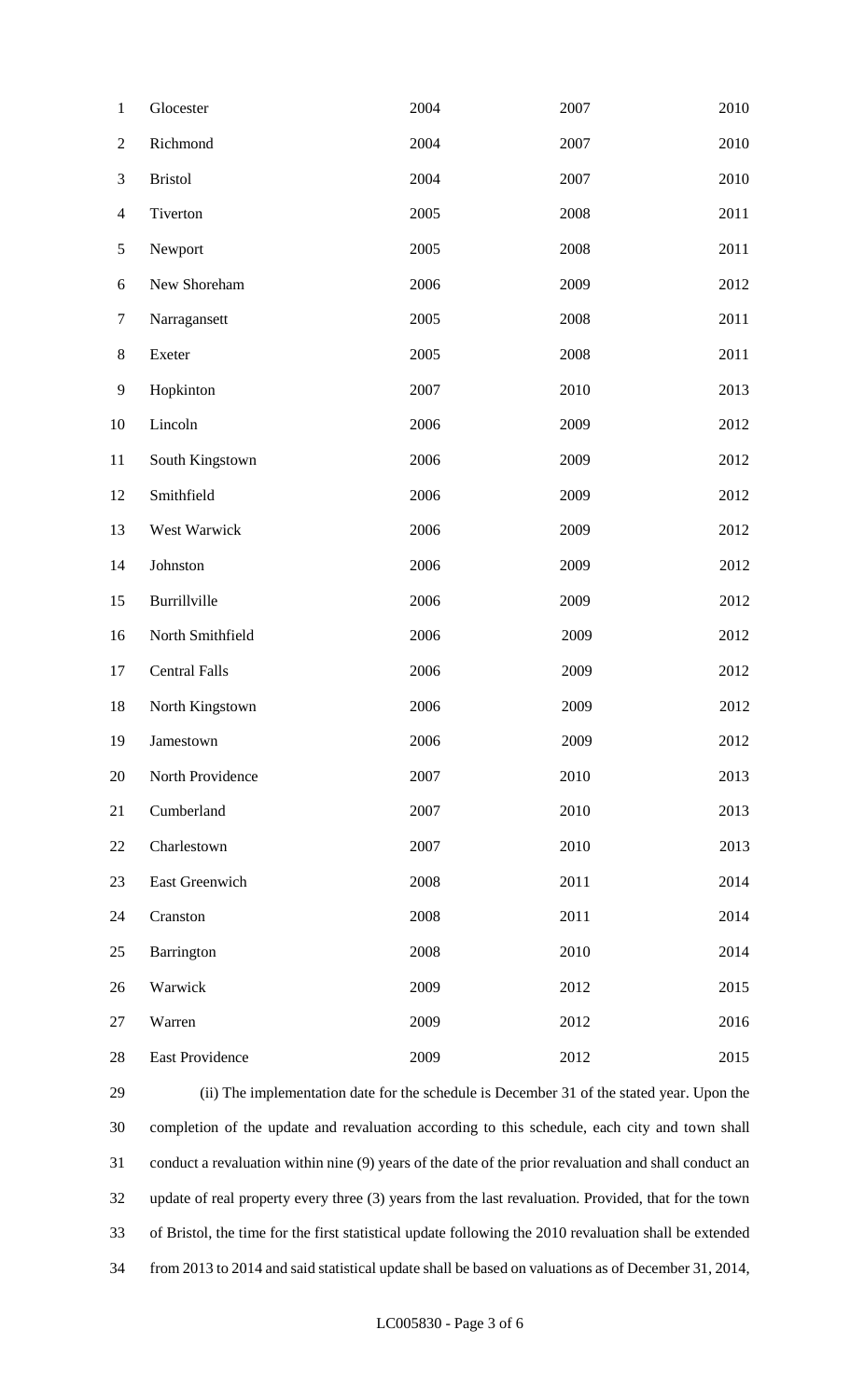| $\mathbf{1}$   | Glocester            | 2004 | 2007 | 2010 |
|----------------|----------------------|------|------|------|
| $\mathbf{2}$   | Richmond             | 2004 | 2007 | 2010 |
| $\mathfrak{Z}$ | <b>Bristol</b>       | 2004 | 2007 | 2010 |
| $\overline{4}$ | Tiverton             | 2005 | 2008 | 2011 |
| $\mathfrak{S}$ | Newport              | 2005 | 2008 | 2011 |
| 6              | New Shoreham         | 2006 | 2009 | 2012 |
| $\tau$         | Narragansett         | 2005 | 2008 | 2011 |
| $8\,$          | Exeter               | 2005 | 2008 | 2011 |
| $\mathbf{9}$   | Hopkinton            | 2007 | 2010 | 2013 |
| 10             | Lincoln              | 2006 | 2009 | 2012 |
| 11             | South Kingstown      | 2006 | 2009 | 2012 |
| 12             | Smithfield           | 2006 | 2009 | 2012 |
| 13             | West Warwick         | 2006 | 2009 | 2012 |
| 14             | Johnston             | 2006 | 2009 | 2012 |
| 15             | Burrillville         | 2006 | 2009 | 2012 |
| 16             | North Smithfield     | 2006 | 2009 | 2012 |
| 17             | <b>Central Falls</b> | 2006 | 2009 | 2012 |
| 18             | North Kingstown      | 2006 | 2009 | 2012 |
| 19             | Jamestown            | 2006 | 2009 | 2012 |
| 20             | North Providence     | 2007 | 2010 | 2013 |
| 21             | Cumberland           | 2007 | 2010 | 2013 |
| 22             | Charlestown          | 2007 | 2010 | 2013 |
| 23             | East Greenwich       | 2008 | 2011 | 2014 |
| 24             | Cranston             | 2008 | 2011 | 2014 |
| 25             | Barrington           | 2008 | 2010 | 2014 |
| 26             | Warwick              | 2009 | 2012 | 2015 |
| 27             | Warren               | 2009 | 2012 | 2016 |
| 28             | East Providence      | 2009 | 2012 | 2015 |

 (ii) The implementation date for the schedule is December 31 of the stated year. Upon the completion of the update and revaluation according to this schedule, each city and town shall conduct a revaluation within nine (9) years of the date of the prior revaluation and shall conduct an update of real property every three (3) years from the last revaluation. Provided, that for the town of Bristol, the time for the first statistical update following the 2010 revaluation shall be extended from 2013 to 2014 and said statistical update shall be based on valuations as of December 31, 2014,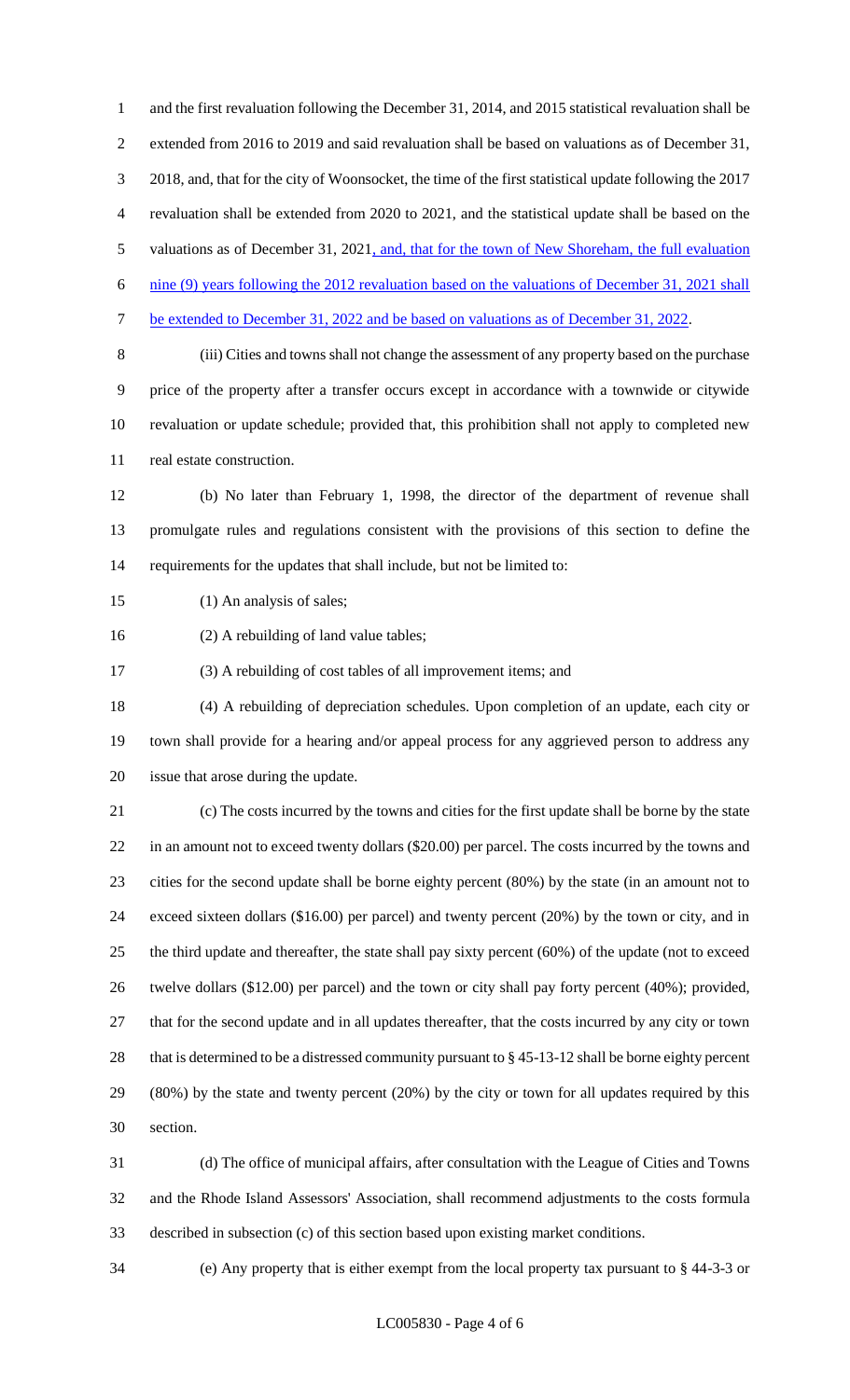and the first revaluation following the December 31, 2014, and 2015 statistical revaluation shall be extended from 2016 to 2019 and said revaluation shall be based on valuations as of December 31, 2018, and, that for the city of Woonsocket, the time of the first statistical update following the 2017 revaluation shall be extended from 2020 to 2021, and the statistical update shall be based on the 5 valuations as of December 31, 2021, and, that for the town of New Shoreham, the full evaluation nine (9) years following the 2012 revaluation based on the valuations of December 31, 2021 shall be extended to December 31, 2022 and be based on valuations as of December 31, 2022. (iii) Cities and towns shall not change the assessment of any property based on the purchase price of the property after a transfer occurs except in accordance with a townwide or citywide revaluation or update schedule; provided that, this prohibition shall not apply to completed new real estate construction.

 (b) No later than February 1, 1998, the director of the department of revenue shall promulgate rules and regulations consistent with the provisions of this section to define the requirements for the updates that shall include, but not be limited to:

15 (1) An analysis of sales;

(2) A rebuilding of land value tables;

(3) A rebuilding of cost tables of all improvement items; and

 (4) A rebuilding of depreciation schedules. Upon completion of an update, each city or town shall provide for a hearing and/or appeal process for any aggrieved person to address any issue that arose during the update.

 (c) The costs incurred by the towns and cities for the first update shall be borne by the state in an amount not to exceed twenty dollars (\$20.00) per parcel. The costs incurred by the towns and cities for the second update shall be borne eighty percent (80%) by the state (in an amount not to exceed sixteen dollars (\$16.00) per parcel) and twenty percent (20%) by the town or city, and in the third update and thereafter, the state shall pay sixty percent (60%) of the update (not to exceed twelve dollars (\$12.00) per parcel) and the town or city shall pay forty percent (40%); provided, that for the second update and in all updates thereafter, that the costs incurred by any city or town that is determined to be a distressed community pursuant to § 45-13-12 shall be borne eighty percent (80%) by the state and twenty percent (20%) by the city or town for all updates required by this section.

 (d) The office of municipal affairs, after consultation with the League of Cities and Towns and the Rhode Island Assessors' Association, shall recommend adjustments to the costs formula described in subsection (c) of this section based upon existing market conditions.

(e) Any property that is either exempt from the local property tax pursuant to § 44-3-3 or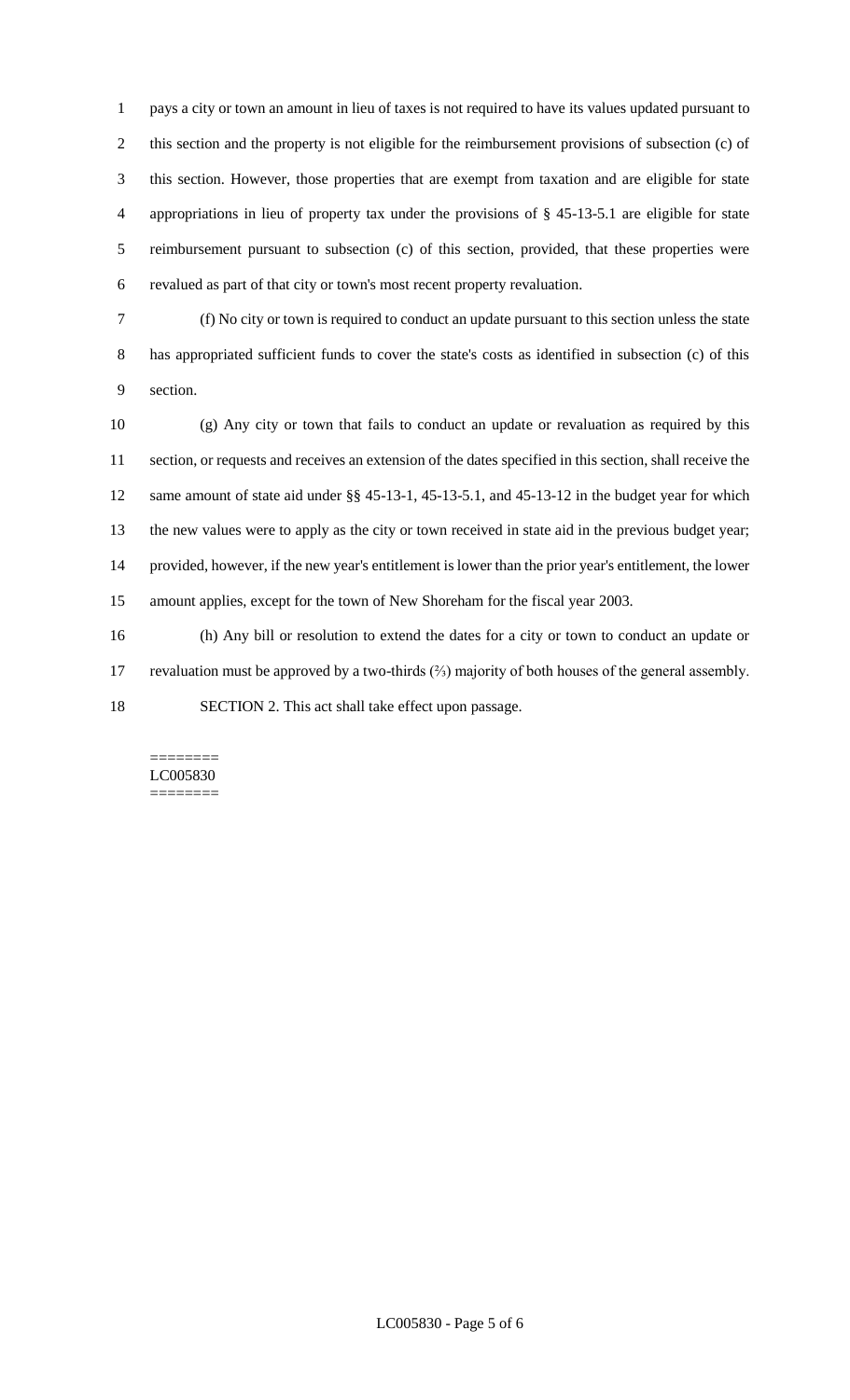pays a city or town an amount in lieu of taxes is not required to have its values updated pursuant to this section and the property is not eligible for the reimbursement provisions of subsection (c) of this section. However, those properties that are exempt from taxation and are eligible for state appropriations in lieu of property tax under the provisions of § 45-13-5.1 are eligible for state reimbursement pursuant to subsection (c) of this section, provided, that these properties were revalued as part of that city or town's most recent property revaluation.

 (f) No city or town is required to conduct an update pursuant to this section unless the state has appropriated sufficient funds to cover the state's costs as identified in subsection (c) of this section.

 (g) Any city or town that fails to conduct an update or revaluation as required by this section, or requests and receives an extension of the dates specified in this section, shall receive the same amount of state aid under §§ 45-13-1, 45-13-5.1, and 45-13-12 in the budget year for which the new values were to apply as the city or town received in state aid in the previous budget year; provided, however, if the new year's entitlement is lower than the prior year's entitlement, the lower amount applies, except for the town of New Shoreham for the fiscal year 2003.

 (h) Any bill or resolution to extend the dates for a city or town to conduct an update or revaluation must be approved by a two-thirds (⅔) majority of both houses of the general assembly. SECTION 2. This act shall take effect upon passage.

#### ======== LC005830 ========